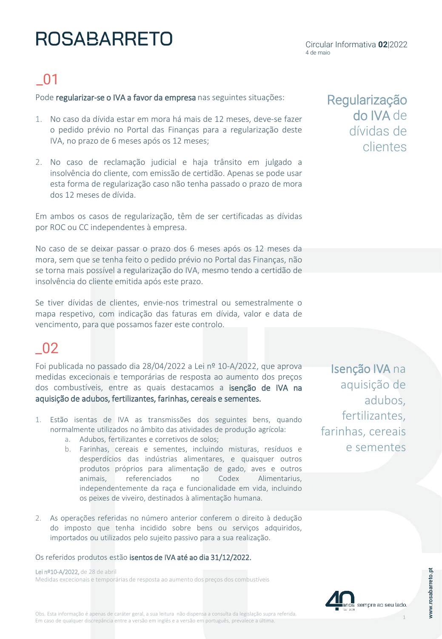# **ROSABARRETO**

## \_01

Pode regularizar-se o IVA a favor da empresa nas seguintes situações:

- 1. No caso da dívida estar em mora há mais de 12 meses, deve-se fazer o pedido prévio no Portal das Finanças para a regularização deste IVA, no prazo de 6 meses após os 12 meses;
- 2. No caso de reclamação judicial e haja trânsito em julgado a insolvência do cliente, com emissão de certidão. Apenas se pode usar esta forma de regularização caso não tenha passado o prazo de mora dos 12 meses de dívida.

Em ambos os casos de regularização, têm de ser certificadas as dívidas por ROC ou CC independentes à empresa.

No caso de se deixar passar o prazo dos 6 meses após os 12 meses da mora, sem que se tenha feito o pedido prévio no Portal das Finanças, não se torna mais possível a regularização do IVA, mesmo tendo a certidão de insolvência do cliente emitida após este prazo.

Se tiver dívidas de clientes, envie-nos trimestral ou semestralmente o mapa respetivo, com indicação das faturas em dívida, valor e data de vencimento, para que possamos fazer este controlo.

### \_02

Foi publicada no passado dia 28/04/2022 a Lei nº 10-A/2022, que aprova medidas excecionais e temporárias de resposta ao aumento dos preços dos combustíveis, entre as quais destacamos a isenção de IVA na aquisição de adubos, fertilizantes, farinhas, cereais e sementes.

- 1. Estão isentas de IVA as transmissões dos seguintes bens, quando normalmente utilizados no âmbito das atividades de produção agrícola:
	- a. Adubos, fertilizantes e corretivos de solos;
	- b. Farinhas, cereais e sementes, incluindo misturas, resíduos e desperdícios das indústrias alimentares, e quaisquer outros produtos próprios para alimentação de gado, aves e outros animais, referenciados no Codex Alimentarius, independentemente da raça e funcionalidade em vida, incluindo os peixes de viveiro, destinados à alimentação humana.
- 2. As operações referidas no número anterior conferem o direito à dedução do imposto que tenha incidido sobre bens ou serviços adquiridos, importados ou utilizados pelo sujeito passivo para a sua realização.

Os referidos produtos estão isentos de IVA até ao dia 31/12/2022.

Lei nº10-A/2022, de 28 de abril Medidas excecionais e temporárias de resposta ao aumento dos preços dos combustíveis Regularização do IVA de dívidas de clientes

Isenção IVA na aquisição de adubos, fertilizantes, farinhas, cereais e sementes

sempre ao seu lado.